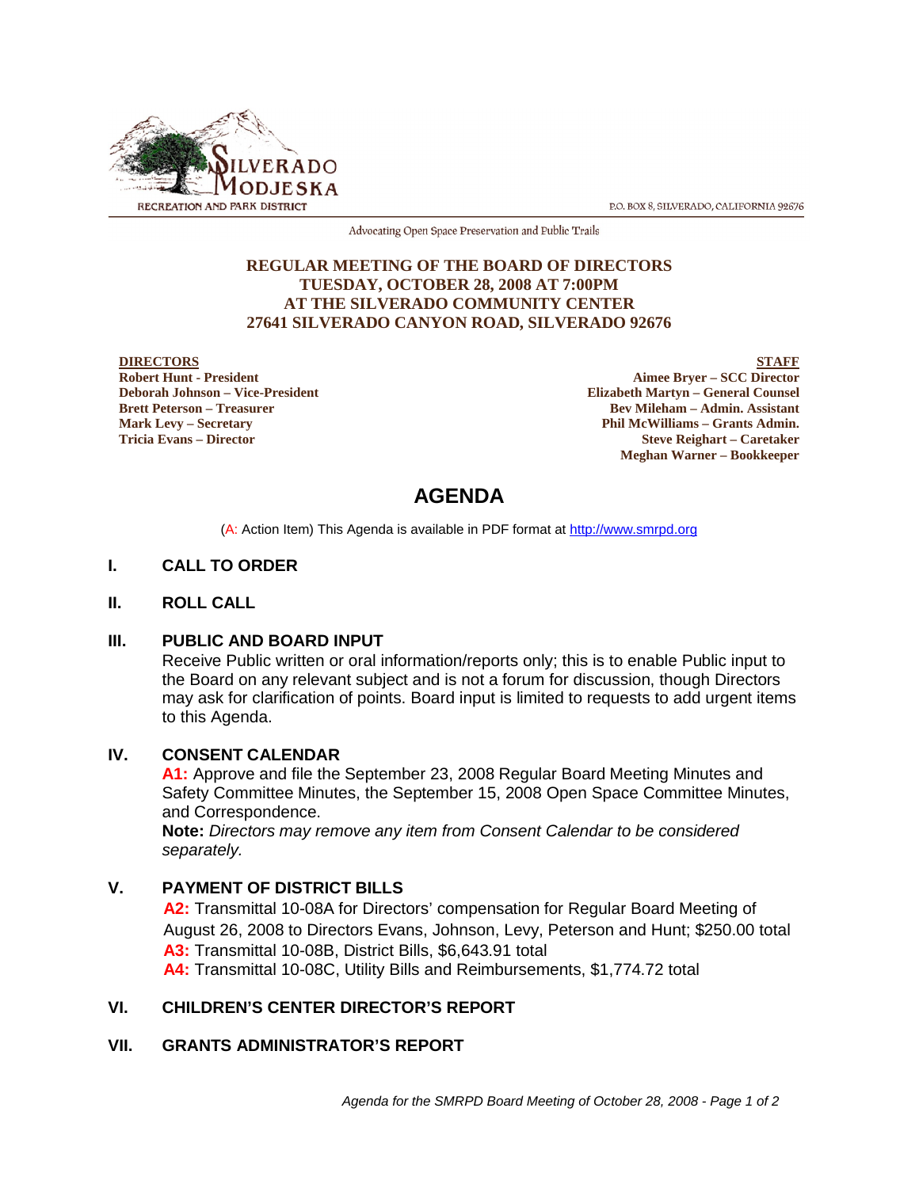

P.O. BOX 8, SILVERADO, CALIFORNIA 92676

Advocating Open Space Preservation and Public Trails

## **REGULAR MEETING OF THE BOARD OF DIRECTORS TUESDAY, OCTOBER 28, 2008 AT 7:00PM AT THE SILVERADO COMMUNITY CENTER 27641 SILVERADO CANYON ROAD, SILVERADO 92676**

#### **DIRECTORS**

**Robert Hunt - President Deborah Johnson – Vice-President Brett Peterson – Treasurer Mark Levy – Secretary Tricia Evans – Director**

**STAFF Aimee Bryer – SCC Director Elizabeth Martyn – General Counsel Bev Mileham – Admin. Assistant Phil McWilliams – Grants Admin. Steve Reighart – Caretaker Meghan Warner – Bookkeeper**

# **AGENDA**

(A: Action Item) This Agenda is available in PDF format at http://www.smrpd.org

## **I. CALL TO ORDER**

## **II. ROLL CALL**

## **III. PUBLIC AND BOARD INPUT**

Receive Public written or oral information/reports only; this is to enable Public input to the Board on any relevant subject and is not a forum for discussion, though Directors may ask for clarification of points. Board input is limited to requests to add urgent items to this Agenda.

## **IV. CONSENT CALENDAR**

**A1:** Approve and file the September 23, 2008 Regular Board Meeting Minutes and Safety Committee Minutes, the September 15, 2008 Open Space Committee Minutes, and Correspondence.

**Note:** *Directors may remove any item from Consent Calendar to be considered separately.*

## **V. PAYMENT OF DISTRICT BILLS**

**A2:** Transmittal 10-08A for Directors' compensation for Regular Board Meeting of August 26, 2008 to Directors Evans, Johnson, Levy, Peterson and Hunt; \$250.00 total **A3:** Transmittal 10-08B, District Bills, \$6,643.91 total **A4:** Transmittal 10-08C, Utility Bills and Reimbursements, \$1,774.72 total

## **VI. CHILDREN'S CENTER DIRECTOR'S REPORT**

## **VII. GRANTS ADMINISTRATOR'S REPORT**